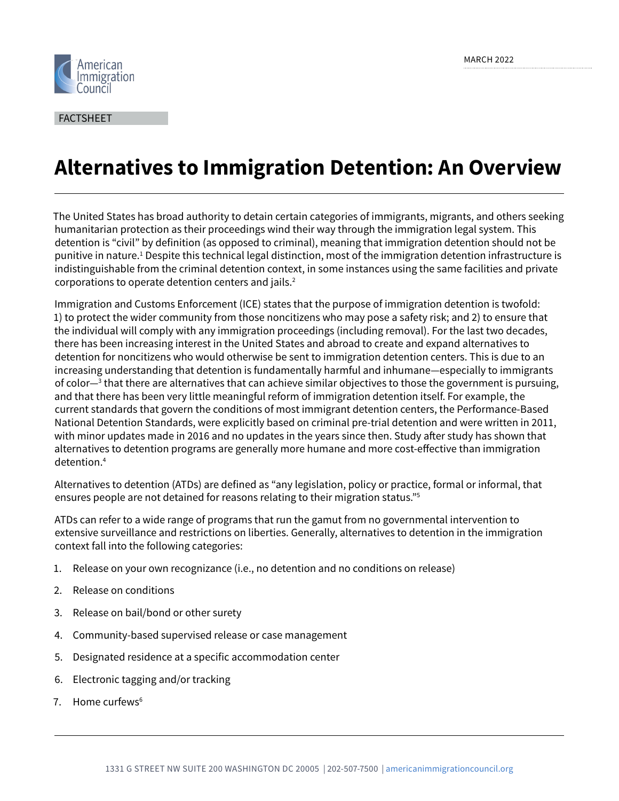

FACTSHEET

# **Alternatives to Immigration Detention: An Overview**

The United States has broad authority to detain certain categories of immigrants, migrants, and others seeking humanitarian protection as their proceedings wind their way through the immigration legal system. This detention is "civil" by definition (as opposed to criminal), meaning that immigration detention should not be punitive in nature.<sup>1</sup> Despite this technical legal distinction, most of the immigration detention infrastructure is indistinguishable from the criminal detention context, in some instances using the same facilities and private corporations to operate detention centers and jails.<sup>2</sup>

Immigration and Customs Enforcement (ICE) states that the purpose of immigration detention is twofold: 1) to protect the wider community from those noncitizens who may pose a safety risk; and 2) to ensure that the individual will comply with any immigration proceedings (including removal). For the last two decades, there has been increasing interest in the United States and abroad to create and expand alternatives to detention for noncitizens who would otherwise be sent to immigration detention centers. This is due to an increasing understanding that detention is fundamentally harmful and inhumane—especially to immigrants of color—<sup>3</sup> that there are alternatives that can achieve similar objectives to those the government is pursuing, and that there has been very little meaningful reform of immigration detention itself. For example, the current standards that govern the conditions of most immigrant detention centers, the Performance-Based National Detention Standards, were explicitly based on criminal pre-trial detention and were written in 2011, with minor updates made in 2016 and no updates in the years since then. Study after study has shown that alternatives to detention programs are generally more humane and more cost-effective than immigration detention.4

Alternatives to detention (ATDs) are defined as "any legislation, policy or practice, formal or informal, that ensures people are not detained for reasons relating to their migration status."5

ATDs can refer to a wide range of programs that run the gamut from no governmental intervention to extensive surveillance and restrictions on liberties. Generally, alternatives to detention in the immigration context fall into the following categories:

- 1. Release on your own recognizance (i.e., no detention and no conditions on release)
- 2. Release on conditions
- 3. Release on bail/bond or other surety
- 4. Community-based supervised release or case management
- 5. Designated residence at a specific accommodation center
- 6. Electronic tagging and/or tracking
- 7. Home curfews $<sup>6</sup>$ </sup>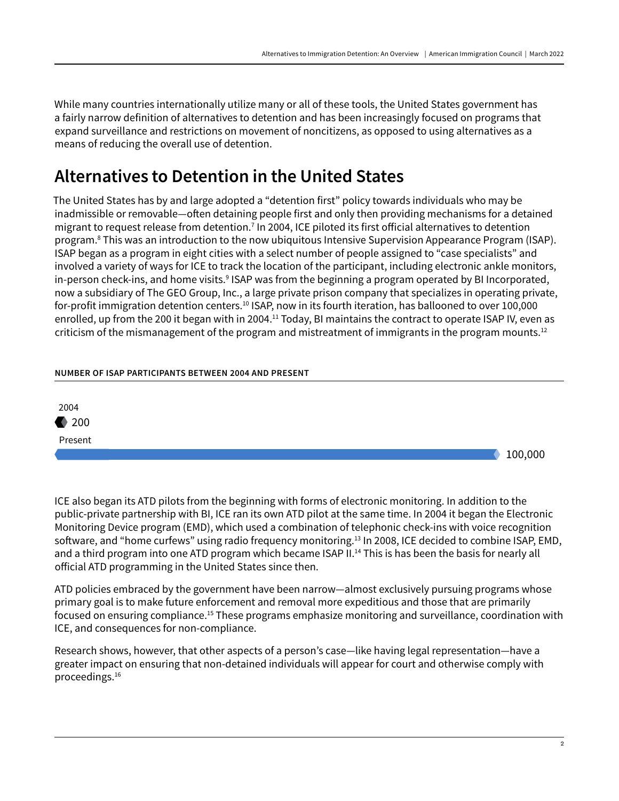While many countries internationally utilize many or all of these tools, the United States government has a fairly narrow definition of alternatives to detention and has been increasingly focused on programs that expand surveillance and restrictions on movement of noncitizens, as opposed to using alternatives as a means of reducing the overall use of detention.

## Alternatives to Detention in the United States

The United States has by and large adopted a "detention first" policy towards individuals who may be inadmissible or removable—often detaining people first and only then providing mechanisms for a detained migrant to request release from detention.7 In 2004, ICE piloted its first official alternatives to detention program.8 This was an introduction to the now ubiquitous Intensive Supervision Appearance Program (ISAP). ISAP began as a program in eight cities with a select number of people assigned to "case specialists" and involved a variety of ways for ICE to track the location of the participant, including electronic ankle monitors, in-person check-ins, and home visits.<sup>9</sup> ISAP was from the beginning a program operated by BI Incorporated, now a subsidiary of The GEO Group, Inc., a large private prison company that specializes in operating private, for-profit immigration detention centers.<sup>10</sup> ISAP, now in its fourth iteration, has ballooned to over 100,000 enrolled, up from the 200 it began with in 2004.<sup>11</sup> Today, BI maintains the contract to operate ISAP IV, even as criticism of the mismanagement of the program and mistreatment of immigrants in the program mounts.<sup>12</sup>

#### **NUMBER OF ISAP PARTICIPANTS BETWEEN 2004 AND PRESENT**



ICE also began its ATD pilots from the beginning with forms of electronic monitoring. In addition to the public-private partnership with BI, ICE ran its own ATD pilot at the same time. In 2004 it began the Electronic Monitoring Device program (EMD), which used a combination of telephonic check-ins with voice recognition software, and "home curfews" using radio frequency monitoring.13 In 2008, ICE decided to combine ISAP, EMD, and a third program into one ATD program which became ISAP II.<sup>14</sup> This is has been the basis for nearly all official ATD programming in the United States since then.

ATD policies embraced by the government have been narrow—almost exclusively pursuing programs whose primary goal is to make future enforcement and removal more expeditious and those that are primarily focused on ensuring compliance.15 These programs emphasize monitoring and surveillance, coordination with ICE, and consequences for non-compliance.

Research shows, however, that other aspects of a person's case—like having legal representation—have a greater impact on ensuring that non-detained individuals will appear for court and otherwise comply with proceedings.16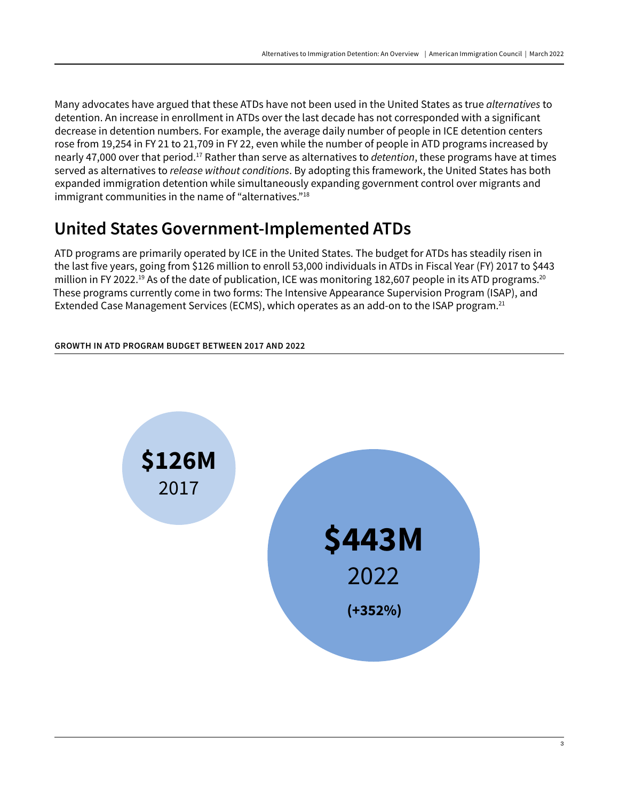Many advocates have argued that these ATDs have not been used in the United States as true *alternatives* to detention. An increase in enrollment in ATDs over the last decade has not corresponded with a significant decrease in detention numbers. For example, the average daily number of people in ICE detention centers rose from 19,254 in FY 21 to 21,709 in FY 22, even while the number of people in ATD programs increased by nearly 47,000 over that period.17 Rather than serve as alternatives to *detention*, these programs have at times served as alternatives to *release without conditions*. By adopting this framework, the United States has both expanded immigration detention while simultaneously expanding government control over migrants and immigrant communities in the name of "alternatives."<sup>18</sup>

## United States Government-Implemented ATDs

ATD programs are primarily operated by ICE in the United States. The budget for ATDs has steadily risen in the last five years, going from \$126 million to enroll 53,000 individuals in ATDs in Fiscal Year (FY) 2017 to \$443 million in FY 2022.<sup>19</sup> As of the date of publication, ICE was monitoring 182,607 people in its ATD programs.<sup>20</sup> These programs currently come in two forms: The Intensive Appearance Supervision Program (ISAP), and Extended Case Management Services (ECMS), which operates as an add-on to the ISAP program.<sup>21</sup>

**GROWTH IN ATD PROGRAM BUDGET BETWEEN 2017 AND 2022**

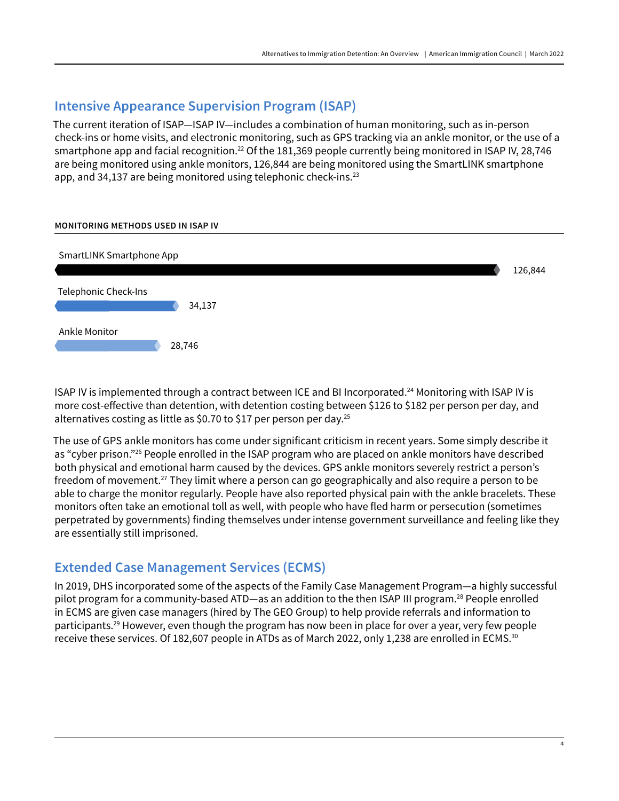### **Intensive Appearance Supervision Program (ISAP)**

The current iteration of ISAP—ISAP IV—includes a combination of human monitoring, such as in-person check-ins or home visits, and electronic monitoring, such as GPS tracking via an ankle monitor, or the use of a smartphone app and facial recognition.<sup>22</sup> Of the 181,369 people currently being monitored in ISAP IV, 28,746 are being monitored using ankle monitors, 126,844 are being monitored using the SmartLINK smartphone app, and 34,137 are being monitored using telephonic check-ins.<sup>23</sup>

#### **MONITORING METHODS USED IN ISAP IV**



ISAP IV is implemented through a contract between ICE and BI Incorporated.24 Monitoring with ISAP IV is more cost-effective than detention, with detention costing between \$126 to \$182 per person per day, and alternatives costing as little as \$0.70 to \$17 per person per day.<sup>25</sup>

The use of GPS ankle monitors has come under significant criticism in recent years. Some simply describe it as "cyber prison."<sup>26</sup> People enrolled in the ISAP program who are placed on ankle monitors have described both physical and emotional harm caused by the devices. GPS ankle monitors severely restrict a person's freedom of movement.27 They limit where a person can go geographically and also require a person to be able to charge the monitor regularly. People have also reported physical pain with the ankle bracelets. These monitors often take an emotional toll as well, with people who have fled harm or persecution (sometimes perpetrated by governments) finding themselves under intense government surveillance and feeling like they are essentially still imprisoned.

### **Extended Case Management Services (ECMS)**

In 2019, DHS incorporated some of the aspects of the Family Case Management Program—a highly successful pilot program for a community-based ATD—as an addition to the then ISAP III program.28 People enrolled in ECMS are given case managers (hired by The GEO Group) to help provide referrals and information to participants.<sup>29</sup> However, even though the program has now been in place for over a year, very few people receive these services. Of 182,607 people in ATDs as of March 2022, only 1,238 are enrolled in ECMS.30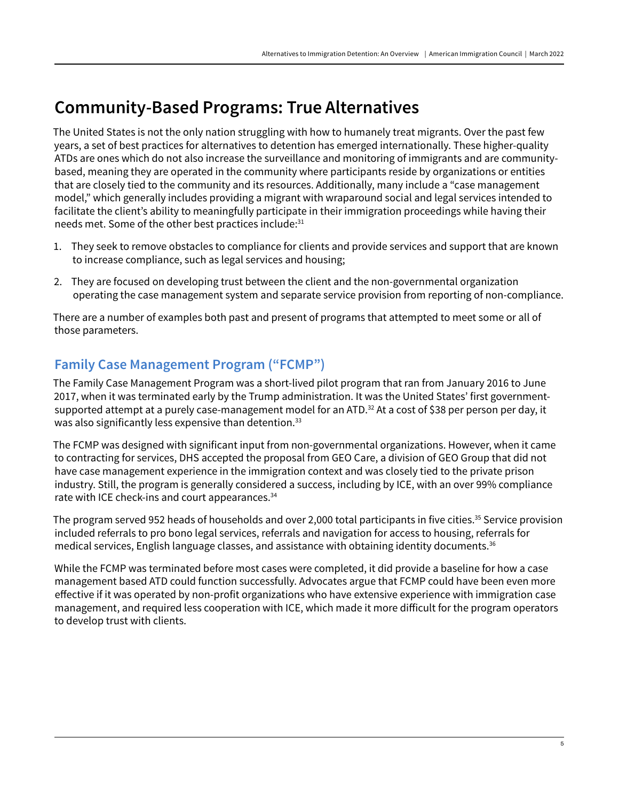### Community-Based Programs: True Alternatives

The United States is not the only nation struggling with how to humanely treat migrants. Over the past few years, a set of best practices for alternatives to detention has emerged internationally. These higher-quality ATDs are ones which do not also increase the surveillance and monitoring of immigrants and are communitybased, meaning they are operated in the community where participants reside by organizations or entities that are closely tied to the community and its resources. Additionally, many include a "case management model," which generally includes providing a migrant with wraparound social and legal services intended to facilitate the client's ability to meaningfully participate in their immigration proceedings while having their needs met. Some of the other best practices include:<sup>31</sup>

- 1. They seek to remove obstacles to compliance for clients and provide services and support that are known to increase compliance, such as legal services and housing;
- 2. They are focused on developing trust between the client and the non-governmental organization operating the case management system and separate service provision from reporting of non-compliance.

There are a number of examples both past and present of programs that attempted to meet some or all of those parameters.

### **Family Case Management Program ("FCMP")**

The Family Case Management Program was a short-lived pilot program that ran from January 2016 to June 2017, when it was terminated early by the Trump administration. It was the United States' first governmentsupported attempt at a purely case-management model for an ATD.<sup>32</sup> At a cost of \$38 per person per day, it was also significantly less expensive than detention.<sup>33</sup>

The FCMP was designed with significant input from non-governmental organizations. However, when it came to contracting for services, DHS accepted the proposal from GEO Care, a division of GEO Group that did not have case management experience in the immigration context and was closely tied to the private prison industry. Still, the program is generally considered a success, including by ICE, with an over 99% compliance rate with ICE check-ins and court appearances.<sup>34</sup>

The program served 952 heads of households and over 2,000 total participants in five cities.<sup>35</sup> Service provision included referrals to pro bono legal services, referrals and navigation for access to housing, referrals for medical services, English language classes, and assistance with obtaining identity documents.36

While the FCMP was terminated before most cases were completed, it did provide a baseline for how a case management based ATD could function successfully. Advocates argue that FCMP could have been even more effective if it was operated by non-profit organizations who have extensive experience with immigration case management, and required less cooperation with ICE, which made it more difficult for the program operators to develop trust with clients.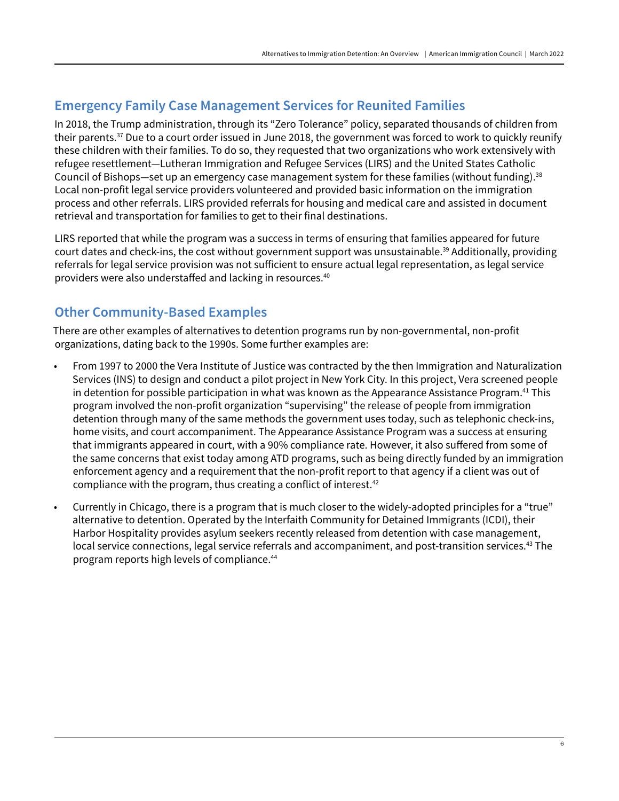### **Emergency Family Case Management Services for Reunited Families**

In 2018, the Trump administration, through its "Zero Tolerance" policy, separated thousands of children from their parents.<sup>37</sup> Due to a court order issued in June 2018, the government was forced to work to quickly reunify these children with their families. To do so, they requested that two organizations who work extensively with refugee resettlement—Lutheran Immigration and Refugee Services (LIRS) and the United States Catholic Council of Bishops—set up an emergency case management system for these families (without funding).<sup>38</sup> Local non-profit legal service providers volunteered and provided basic information on the immigration process and other referrals. LIRS provided referrals for housing and medical care and assisted in document retrieval and transportation for families to get to their final destinations.

LIRS reported that while the program was a success in terms of ensuring that families appeared for future court dates and check-ins, the cost without government support was unsustainable.39 Additionally, providing referrals for legal service provision was not sufficient to ensure actual legal representation, as legal service providers were also understaffed and lacking in resources.40

### **Other Community-Based Examples**

There are other examples of alternatives to detention programs run by non-governmental, non-profit organizations, dating back to the 1990s. Some further examples are:

- From 1997 to 2000 the Vera Institute of Justice was contracted by the then Immigration and Naturalization Services (INS) to design and conduct a pilot project in New York City. In this project, Vera screened people in detention for possible participation in what was known as the Appearance Assistance Program.<sup>41</sup> This program involved the non-profit organization "supervising" the release of people from immigration detention through many of the same methods the government uses today, such as telephonic check-ins, home visits, and court accompaniment. The Appearance Assistance Program was a success at ensuring that immigrants appeared in court, with a 90% compliance rate. However, it also suffered from some of the same concerns that exist today among ATD programs, such as being directly funded by an immigration enforcement agency and a requirement that the non-profit report to that agency if a client was out of compliance with the program, thus creating a conflict of interest.<sup>42</sup>
- Currently in Chicago, there is a program that is much closer to the widely-adopted principles for a "true" alternative to detention. Operated by the Interfaith Community for Detained Immigrants (ICDI), their Harbor Hospitality provides asylum seekers recently released from detention with case management, local service connections, legal service referrals and accompaniment, and post-transition services.<sup>43</sup> The program reports high levels of compliance.44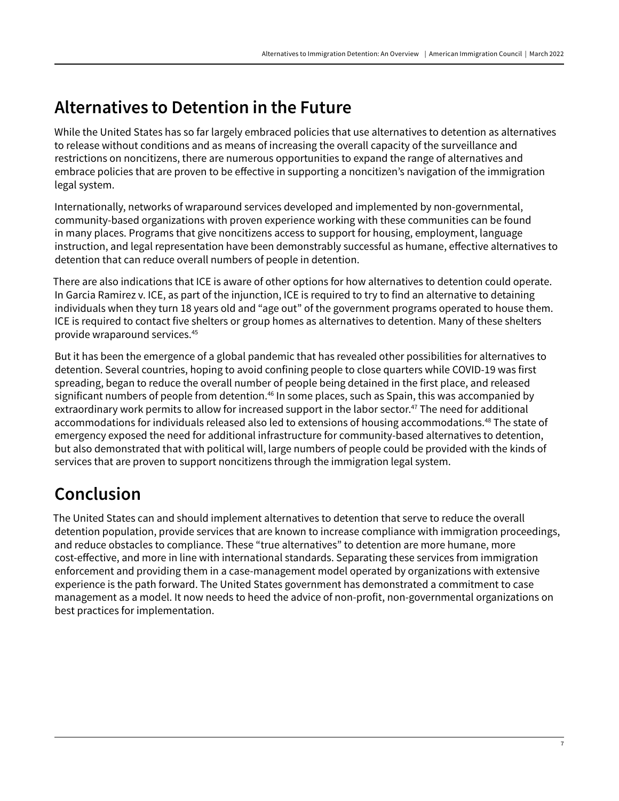## Alternatives to Detention in the Future

While the United States has so far largely embraced policies that use alternatives to detention as alternatives to release without conditions and as means of increasing the overall capacity of the surveillance and restrictions on noncitizens, there are numerous opportunities to expand the range of alternatives and embrace policies that are proven to be effective in supporting a noncitizen's navigation of the immigration legal system.

Internationally, networks of wraparound services developed and implemented by non-governmental, community-based organizations with proven experience working with these communities can be found in many places. Programs that give noncitizens access to support for housing, employment, language instruction, and legal representation have been demonstrably successful as humane, effective alternatives to detention that can reduce overall numbers of people in detention.

There are also indications that ICE is aware of other options for how alternatives to detention could operate. In Garcia Ramirez v. ICE, as part of the injunction, ICE is required to try to find an alternative to detaining individuals when they turn 18 years old and "age out" of the government programs operated to house them. ICE is required to contact five shelters or group homes as alternatives to detention. Many of these shelters provide wraparound services.45

But it has been the emergence of a global pandemic that has revealed other possibilities for alternatives to detention. Several countries, hoping to avoid confining people to close quarters while COVID-19 was first spreading, began to reduce the overall number of people being detained in the first place, and released significant numbers of people from detention.<sup>46</sup> In some places, such as Spain, this was accompanied by extraordinary work permits to allow for increased support in the labor sector.<sup>47</sup> The need for additional accommodations for individuals released also led to extensions of housing accommodations.<sup>48</sup> The state of emergency exposed the need for additional infrastructure for community-based alternatives to detention, but also demonstrated that with political will, large numbers of people could be provided with the kinds of services that are proven to support noncitizens through the immigration legal system.

# Conclusion

The United States can and should implement alternatives to detention that serve to reduce the overall detention population, provide services that are known to increase compliance with immigration proceedings, and reduce obstacles to compliance. These "true alternatives" to detention are more humane, more cost-effective, and more in line with international standards. Separating these services from immigration enforcement and providing them in a case-management model operated by organizations with extensive experience is the path forward. The United States government has demonstrated a commitment to case management as a model. It now needs to heed the advice of non-profit, non-governmental organizations on best practices for implementation.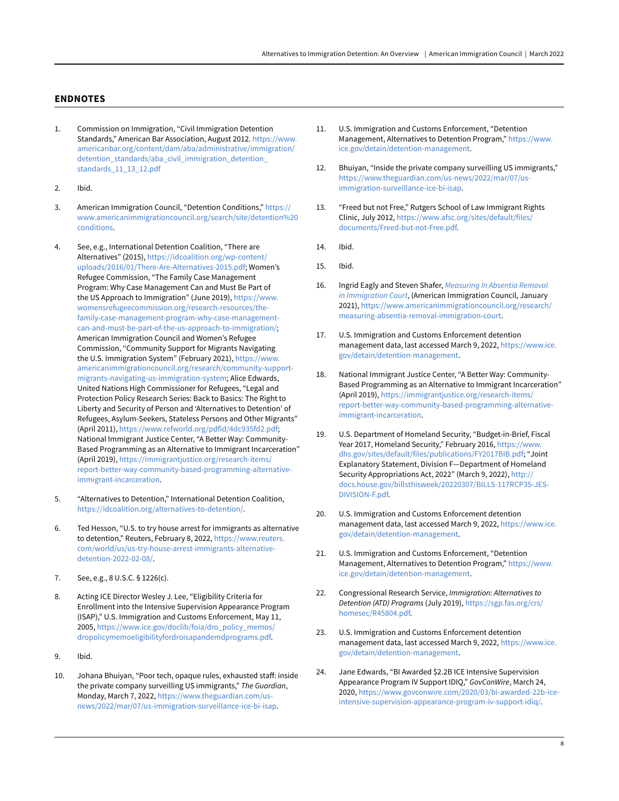#### **ENDNOTES**

- 1. Commission on Immigration, "Civil Immigration Detention Standards," American Bar Association, August 2012. [https://www.](https://www.americanbar.org/content/dam/aba/administrative/immigration/detention_standards/aba_civil_immigration_detention_standards_11_13_12.pdf) [americanbar.org/content/dam/aba/administrative/immigration/](https://www.americanbar.org/content/dam/aba/administrative/immigration/detention_standards/aba_civil_immigration_detention_standards_11_13_12.pdf) [detention\\_standards/aba\\_civil\\_immigration\\_detention\\_](https://www.americanbar.org/content/dam/aba/administrative/immigration/detention_standards/aba_civil_immigration_detention_standards_11_13_12.pdf) [standards\\_11\\_13\\_12.pdf](https://www.americanbar.org/content/dam/aba/administrative/immigration/detention_standards/aba_civil_immigration_detention_standards_11_13_12.pdf)
- 2. Ibid.
- 3. American Immigration Council, "Detention Conditions," [https://](https://www.americanimmigrationcouncil.org/search/site/detention%20conditions) [www.americanimmigrationcouncil.org/search/site/detention%20](https://www.americanimmigrationcouncil.org/search/site/detention%20conditions) [conditions.](https://www.americanimmigrationcouncil.org/search/site/detention%20conditions)
- 4. See, e.g., International Detention Coalition, "There are Alternatives" (2015), [https://idcoalition.org/wp-content/](https://idcoalition.org/wp-content/uploads/2016/01/There-Are-Alternatives-2015.pdf) [uploads/2016/01/There-Are-Alternatives-2015.pdf;](https://idcoalition.org/wp-content/uploads/2016/01/There-Are-Alternatives-2015.pdf) Women's Refugee Commission, "The Family Case Management Program: Why Case Management Can and Must Be Part of the US Approach to Immigration" (June 2019), [https://www.](https://www.womensrefugeecommission.org/research-resources/the-family-case-management-program-why-case-management-can-and-must-be-part-of-the-us-approach-to-immigration/) [womensrefugeecommission.org/research-resources/the](https://www.womensrefugeecommission.org/research-resources/the-family-case-management-program-why-case-management-can-and-must-be-part-of-the-us-approach-to-immigration/)[family-case-management-program-why-case-management](https://www.womensrefugeecommission.org/research-resources/the-family-case-management-program-why-case-management-can-and-must-be-part-of-the-us-approach-to-immigration/)[can-and-must-be-part-of-the-us-approach-to-immigration/;](https://www.womensrefugeecommission.org/research-resources/the-family-case-management-program-why-case-management-can-and-must-be-part-of-the-us-approach-to-immigration/) American Immigration Council and Women's Refugee Commission, "Community Support for Migrants Navigating the U.S. Immigration System" (February 2021), [https://www.](https://www.americanimmigrationcouncil.org/research/community-support-migrants-navigating-us-immigration-system) [americanimmigrationcouncil.org/research/community-support](https://www.americanimmigrationcouncil.org/research/community-support-migrants-navigating-us-immigration-system)[migrants-navigating-us-immigration-system](https://www.americanimmigrationcouncil.org/research/community-support-migrants-navigating-us-immigration-system); Alice Edwards, United Nations High Commissioner for Refugees, "Legal and Protection Policy Research Series: Back to Basics: The Right to Liberty and Security of Person and 'Alternatives to Detention' of Refugees, Asylum-Seekers, Stateless Persons and Other Migrants" (April 2011), [https://www.refworld.org/pdfid/4dc935fd2.pdf;](https://www.refworld.org/pdfid/4dc935fd2.pdf) National Immigrant Justice Center, "A Better Way: Community-Based Programming as an Alternative to Immigrant Incarceration" (April 2019), [https://immigrantjustice.org/research-items/](https://immigrantjustice.org/research-items/report-better-way-community-based-programming-alternative-immigrant-incarceration) [report-better-way-community-based-programming-alternative](https://immigrantjustice.org/research-items/report-better-way-community-based-programming-alternative-immigrant-incarceration)[immigrant-incarceration.](https://immigrantjustice.org/research-items/report-better-way-community-based-programming-alternative-immigrant-incarceration)
- 5. "Alternatives to Detention," International Detention Coalition, [https://idcoalition.org/alternatives-to-detention/.](https://idcoalition.org/alternatives-to-detention/)
- 6. Ted Hesson, "U.S. to try house arrest for immigrants as alternative to detention," Reuters, February 8, 2022, [https://www.reuters.](https://www.reuters.com/world/us/us-try-house-arrest-immigrants-alternative-detention-2022-02-08/) [com/world/us/us-try-house-arrest-immigrants-alternative](https://www.reuters.com/world/us/us-try-house-arrest-immigrants-alternative-detention-2022-02-08/)[detention-2022-02-08/](https://www.reuters.com/world/us/us-try-house-arrest-immigrants-alternative-detention-2022-02-08/).
- 7. See, e.g., 8 U.S.C. § 1226(c).
- 8. Acting ICE Director Wesley J. Lee, "Eligibility Criteria for Enrollment into the Intensive Supervision Appearance Program (ISAP)," U.S. Immigration and Customs Enforcement, May 11, 2005, [https://www.ice.gov/doclib/foia/dro\\_policy\\_memos/](https://www.ice.gov/doclib/foia/dro_policy_memos/dropolicymemoeligibilityfordroisapandemdprograms.pdf) [dropolicymemoeligibilityfordroisapandemdprograms.pdf](https://www.ice.gov/doclib/foia/dro_policy_memos/dropolicymemoeligibilityfordroisapandemdprograms.pdf).
- 9. Ibid.
- 10. Johana Bhuiyan, "Poor tech, opaque rules, exhausted staff: inside the private company surveilling US immigrants," *The Guardian*, Monday, March 7, 2022, [https://www.theguardian.com/us](https://www.theguardian.com/us-news/2022/mar/07/us-immigration-surveillance-ice-bi-isap)[news/2022/mar/07/us-immigration-surveillance-ice-bi-isap.](https://www.theguardian.com/us-news/2022/mar/07/us-immigration-surveillance-ice-bi-isap)
- 11. U.S. Immigration and Customs Enforcement, "Detention Management, Alternatives to Detention Program," [https://www.](https://www.ice.gov/detain/detention-management) [ice.gov/detain/detention-management.](https://www.ice.gov/detain/detention-management)
- 12. Bhuiyan, "Inside the private company surveilling US immigrants," [https://www.theguardian.com/us-news/2022/mar/07/us](https://www.theguardian.com/us-news/2022/mar/07/us-immigration-surveillance-ice-bi-isap)[immigration-surveillance-ice-bi-isap](https://www.theguardian.com/us-news/2022/mar/07/us-immigration-surveillance-ice-bi-isap).
- 13. "Freed but not Free," Rutgers School of Law Immigrant Rights Clinic, July 2012, [https://www.afsc.org/sites/default/files/](https://www.afsc.org/sites/default/files/documents/Freed-but-not-Free.pdf) [documents/Freed-but-not-Free.pdf.](https://www.afsc.org/sites/default/files/documents/Freed-but-not-Free.pdf)
- 14. Ibid.
- 15. Ibid.
- 16. Ingrid Eagly and Steven Shafer, *[Measuring In Absentia Removal](https://www.americanimmigrationcouncil.org/sites/default/files/research/measuring_in_absentia_in_immigration_court.pdf)  [in Immigration Court](https://www.americanimmigrationcouncil.org/sites/default/files/research/measuring_in_absentia_in_immigration_court.pdf)*, (American Immigration Council, January 2021), [https://www.americanimmigrationcouncil.org/research/](https://www.americanimmigrationcouncil.org/research/measuring-absentia-removal-immigration-court) [measuring-absentia-removal-immigration-court](https://www.americanimmigrationcouncil.org/research/measuring-absentia-removal-immigration-court).
- 17. U.S. Immigration and Customs Enforcement detention management data, last accessed March 9, 2022, [https://www.ice.](https://www.ice.gov/detain/detention-management) [gov/detain/detention-management](https://www.ice.gov/detain/detention-management).
- 18. National Immigrant Justice Center, "A Better Way: Community-Based Programming as an Alternative to Immigrant Incarceration" (April 2019), [https://immigrantjustice.org/research-items/](https://immigrantjustice.org/research-items/report-better-way-community-based-programming-alternative-immigrant-incarceration) [report-better-way-community-based-programming-alternative](https://immigrantjustice.org/research-items/report-better-way-community-based-programming-alternative-immigrant-incarceration)[immigrant-incarceration.](https://immigrantjustice.org/research-items/report-better-way-community-based-programming-alternative-immigrant-incarceration)
- 19. U.S. Department of Homeland Security, "Budget-in-Brief, Fiscal Year 2017, Homeland Security," February 2016, [https://www.](https://www.dhs.gov/sites/default/files/publications/FY2017BIB.pdf) [dhs.gov/sites/default/files/publications/FY2017BIB.pdf;](https://www.dhs.gov/sites/default/files/publications/FY2017BIB.pdf) "Joint Explanatory Statement, Division F—Department of Homeland Security Appropriations Act, 2022" (March 9, 2022), [http://](http://docs.house.gov/billsthisweek/20220307/BILLS-117RCP35-JES-DIVISION-F.pdf) [docs.house.gov/billsthisweek/20220307/BILLS-117RCP35-JES-](http://docs.house.gov/billsthisweek/20220307/BILLS-117RCP35-JES-DIVISION-F.pdf)[DIVISION-F.pdf](http://docs.house.gov/billsthisweek/20220307/BILLS-117RCP35-JES-DIVISION-F.pdf).
- 20. U.S. Immigration and Customs Enforcement detention management data, last accessed March 9, 2022, [https://www.ice.](https://www.ice.gov/detain/detention-management) [gov/detain/detention-management](https://www.ice.gov/detain/detention-management).
- 21. U.S. Immigration and Customs Enforcement, "Detention Management, Alternatives to Detention Program," [https://www.](https://www.ice.gov/detain/detention-management) [ice.gov/detain/detention-management.](https://www.ice.gov/detain/detention-management)
- 22. Congressional Research Service, *Immigration: Alternatives to Detention (ATD) Programs* (July 2019), [https://sgp.fas.org/crs/](https://sgp.fas.org/crs/homesec/R45804.pdf) [homesec/R45804.pdf.](https://sgp.fas.org/crs/homesec/R45804.pdf)
- 23. U.S. Immigration and Customs Enforcement detention management data, last accessed March 9, 2022, [https://www.ice.](https://www.ice.gov/detain/detention-management) [gov/detain/detention-management](https://www.ice.gov/detain/detention-management).
- 24. Jane Edwards, "BI Awarded \$2.2B ICE Intensive Supervision Appearance Program IV Support IDIQ," *GovConWire*, March 24, 2020, [https://www.govconwire.com/2020/03/bi-awarded-22b-ice](https://www.govconwire.com/2020/03/bi-awarded-22b-ice-intensive-supervision-appearance-program-iv-support-idiq/)[intensive-supervision-appearance-program-iv-support-idiq/](https://www.govconwire.com/2020/03/bi-awarded-22b-ice-intensive-supervision-appearance-program-iv-support-idiq/).